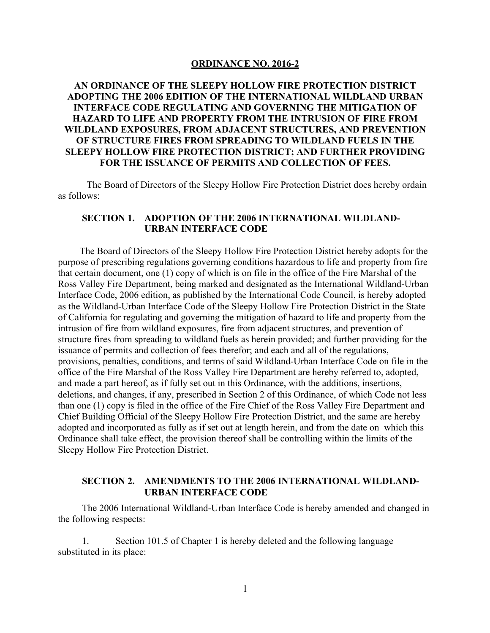#### **ORDINANCE NO. 2016-2**

# **AN ORDINANCE OF THE SLEEPY HOLLOW FIRE PROTECTION DISTRICT ADOPTING THE 2006 EDITION OF THE INTERNATIONAL WILDLAND URBAN INTERFACE CODE REGULATING AND GOVERNING THE MITIGATION OF HAZARD TO LIFE AND PROPERTY FROM THE INTRUSION OF FIRE FROM WILDLAND EXPOSURES, FROM ADJACENT STRUCTURES, AND PREVENTION OF STRUCTURE FIRES FROM SPREADING TO WILDLAND FUELS IN THE SLEEPY HOLLOW FIRE PROTECTION DISTRICT; AND FURTHER PROVIDING FOR THE ISSUANCE OF PERMITS AND COLLECTION OF FEES.**

The Board of Directors of the Sleepy Hollow Fire Protection District does hereby ordain as follows:

### **SECTION 1. ADOPTION OF THE 2006 INTERNATIONAL WILDLAND-URBAN INTERFACE CODE**

 The Board of Directors of the Sleepy Hollow Fire Protection District hereby adopts for the purpose of prescribing regulations governing conditions hazardous to life and property from fire that certain document, one (1) copy of which is on file in the office of the Fire Marshal of the Ross Valley Fire Department, being marked and designated as the International Wildland-Urban Interface Code, 2006 edition, as published by the International Code Council, is hereby adopted as the Wildland-Urban Interface Code of the Sleepy Hollow Fire Protection District in the State of California for regulating and governing the mitigation of hazard to life and property from the intrusion of fire from wildland exposures, fire from adjacent structures, and prevention of structure fires from spreading to wildland fuels as herein provided; and further providing for the issuance of permits and collection of fees therefor; and each and all of the regulations, provisions, penalties, conditions, and terms of said Wildland-Urban Interface Code on file in the office of the Fire Marshal of the Ross Valley Fire Department are hereby referred to, adopted, and made a part hereof, as if fully set out in this Ordinance, with the additions, insertions, deletions, and changes, if any, prescribed in Section 2 of this Ordinance, of which Code not less than one (1) copy is filed in the office of the Fire Chief of the Ross Valley Fire Department and Chief Building Official of the Sleepy Hollow Fire Protection District, and the same are hereby adopted and incorporated as fully as if set out at length herein, and from the date on which this Ordinance shall take effect, the provision thereof shall be controlling within the limits of the Sleepy Hollow Fire Protection District.

### **SECTION 2. AMENDMENTS TO THE 2006 INTERNATIONAL WILDLAND-URBAN INTERFACE CODE**

 The 2006 International Wildland-Urban Interface Code is hereby amended and changed in the following respects:

 1. Section 101.5 of Chapter 1 is hereby deleted and the following language substituted in its place: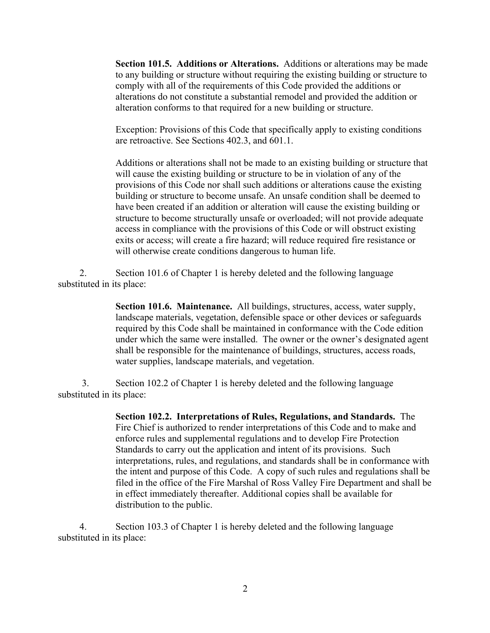**Section 101.5. Additions or Alterations.** Additions or alterations may be made to any building or structure without requiring the existing building or structure to comply with all of the requirements of this Code provided the additions or alterations do not constitute a substantial remodel and provided the addition or alteration conforms to that required for a new building or structure.

Exception: Provisions of this Code that specifically apply to existing conditions are retroactive. See Sections 402.3, and 601.1.

Additions or alterations shall not be made to an existing building or structure that will cause the existing building or structure to be in violation of any of the provisions of this Code nor shall such additions or alterations cause the existing building or structure to become unsafe. An unsafe condition shall be deemed to have been created if an addition or alteration will cause the existing building or structure to become structurally unsafe or overloaded; will not provide adequate access in compliance with the provisions of this Code or will obstruct existing exits or access; will create a fire hazard; will reduce required fire resistance or will otherwise create conditions dangerous to human life.

 2. Section 101.6 of Chapter 1 is hereby deleted and the following language substituted in its place:

> **Section 101.6. Maintenance.** All buildings, structures, access, water supply, landscape materials, vegetation, defensible space or other devices or safeguards required by this Code shall be maintained in conformance with the Code edition under which the same were installed. The owner or the owner's designated agent shall be responsible for the maintenance of buildings, structures, access roads, water supplies, landscape materials, and vegetation.

 3. Section 102.2 of Chapter 1 is hereby deleted and the following language substituted in its place:

> **Section 102.2. Interpretations of Rules, Regulations, and Standards.** The Fire Chief is authorized to render interpretations of this Code and to make and enforce rules and supplemental regulations and to develop Fire Protection Standards to carry out the application and intent of its provisions. Such interpretations, rules, and regulations, and standards shall be in conformance with the intent and purpose of this Code. A copy of such rules and regulations shall be filed in the office of the Fire Marshal of Ross Valley Fire Department and shall be in effect immediately thereafter. Additional copies shall be available for distribution to the public.

 4. Section 103.3 of Chapter 1 is hereby deleted and the following language substituted in its place: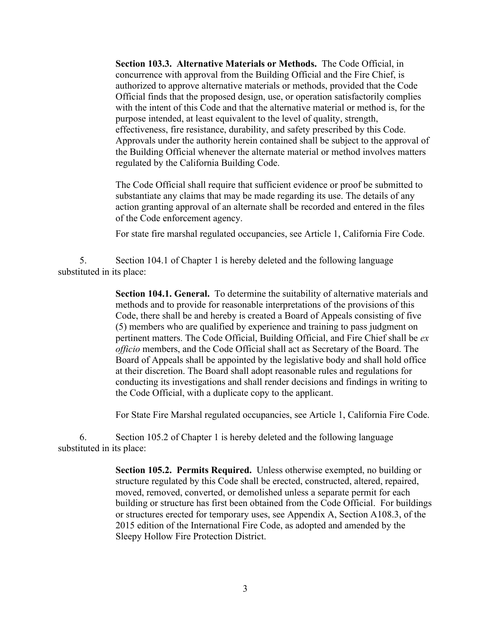**Section 103.3. Alternative Materials or Methods.** The Code Official, in concurrence with approval from the Building Official and the Fire Chief, is authorized to approve alternative materials or methods, provided that the Code Official finds that the proposed design, use, or operation satisfactorily complies with the intent of this Code and that the alternative material or method is, for the purpose intended, at least equivalent to the level of quality, strength, effectiveness, fire resistance, durability, and safety prescribed by this Code. Approvals under the authority herein contained shall be subject to the approval of the Building Official whenever the alternate material or method involves matters regulated by the California Building Code.

The Code Official shall require that sufficient evidence or proof be submitted to substantiate any claims that may be made regarding its use. The details of any action granting approval of an alternate shall be recorded and entered in the files of the Code enforcement agency.

For state fire marshal regulated occupancies, see Article 1, California Fire Code.

 5. Section 104.1 of Chapter 1 is hereby deleted and the following language substituted in its place:

> **Section 104.1. General.** To determine the suitability of alternative materials and methods and to provide for reasonable interpretations of the provisions of this Code, there shall be and hereby is created a Board of Appeals consisting of five (5) members who are qualified by experience and training to pass judgment on pertinent matters. The Code Official, Building Official, and Fire Chief shall be *ex officio* members, and the Code Official shall act as Secretary of the Board. The Board of Appeals shall be appointed by the legislative body and shall hold office at their discretion. The Board shall adopt reasonable rules and regulations for conducting its investigations and shall render decisions and findings in writing to the Code Official, with a duplicate copy to the applicant.

> For State Fire Marshal regulated occupancies, see Article 1, California Fire Code.

 6. Section 105.2 of Chapter 1 is hereby deleted and the following language substituted in its place:

> **Section 105.2. Permits Required.** Unless otherwise exempted, no building or structure regulated by this Code shall be erected, constructed, altered, repaired, moved, removed, converted, or demolished unless a separate permit for each building or structure has first been obtained from the Code Official. For buildings or structures erected for temporary uses, see Appendix A, Section A108.3, of the 2015 edition of the International Fire Code, as adopted and amended by the Sleepy Hollow Fire Protection District.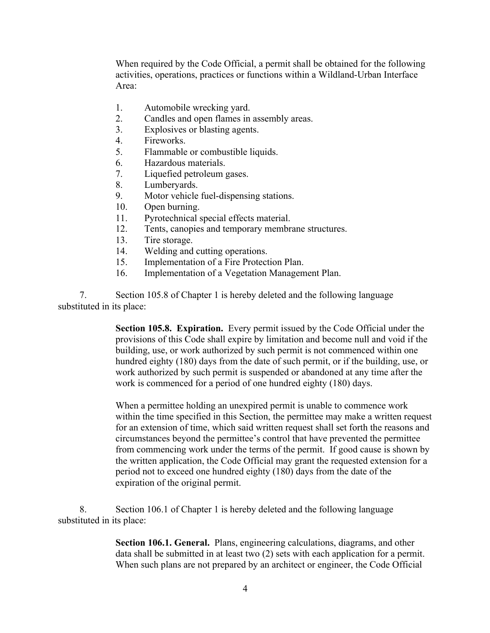When required by the Code Official, a permit shall be obtained for the following activities, operations, practices or functions within a Wildland-Urban Interface Area:

- 1. Automobile wrecking yard.
- 2. Candles and open flames in assembly areas.
- 3. Explosives or blasting agents.
- 4. Fireworks.
- 5. Flammable or combustible liquids.
- 6. Hazardous materials.
- 7. Liquefied petroleum gases.
- 8. Lumberyards.
- 9. Motor vehicle fuel-dispensing stations.
- 10. Open burning.
- 11. Pyrotechnical special effects material.
- 12. Tents, canopies and temporary membrane structures.
- 13. Tire storage.
- 14. Welding and cutting operations.
- 15. Implementation of a Fire Protection Plan.
- 16. Implementation of a Vegetation Management Plan.

 7. Section 105.8 of Chapter 1 is hereby deleted and the following language substituted in its place:

> **Section 105.8. Expiration.** Every permit issued by the Code Official under the provisions of this Code shall expire by limitation and become null and void if the building, use, or work authorized by such permit is not commenced within one hundred eighty (180) days from the date of such permit, or if the building, use, or work authorized by such permit is suspended or abandoned at any time after the work is commenced for a period of one hundred eighty (180) days.

> When a permittee holding an unexpired permit is unable to commence work within the time specified in this Section, the permittee may make a written request for an extension of time, which said written request shall set forth the reasons and circumstances beyond the permittee's control that have prevented the permittee from commencing work under the terms of the permit. If good cause is shown by the written application, the Code Official may grant the requested extension for a period not to exceed one hundred eighty (180) days from the date of the expiration of the original permit.

 8. Section 106.1 of Chapter 1 is hereby deleted and the following language substituted in its place:

> **Section 106.1. General.** Plans, engineering calculations, diagrams, and other data shall be submitted in at least two (2) sets with each application for a permit. When such plans are not prepared by an architect or engineer, the Code Official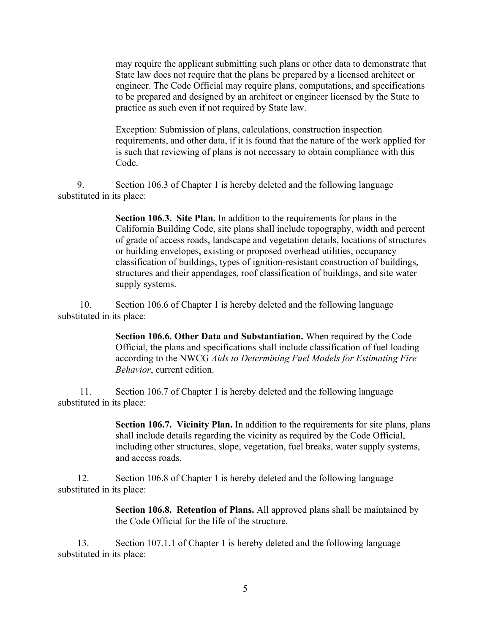may require the applicant submitting such plans or other data to demonstrate that State law does not require that the plans be prepared by a licensed architect or engineer. The Code Official may require plans, computations, and specifications to be prepared and designed by an architect or engineer licensed by the State to practice as such even if not required by State law.

Exception: Submission of plans, calculations, construction inspection requirements, and other data, if it is found that the nature of the work applied for is such that reviewing of plans is not necessary to obtain compliance with this Code.

 9. Section 106.3 of Chapter 1 is hereby deleted and the following language substituted in its place:

> **Section 106.3. Site Plan.** In addition to the requirements for plans in the California Building Code, site plans shall include topography, width and percent of grade of access roads, landscape and vegetation details, locations of structures or building envelopes, existing or proposed overhead utilities, occupancy classification of buildings, types of ignition-resistant construction of buildings, structures and their appendages, roof classification of buildings, and site water supply systems.

 10. Section 106.6 of Chapter 1 is hereby deleted and the following language substituted in its place:

> **Section 106.6. Other Data and Substantiation.** When required by the Code Official, the plans and specifications shall include classification of fuel loading according to the NWCG *Aids to Determining Fuel Models for Estimating Fire Behavior*, current edition.

 11. Section 106.7 of Chapter 1 is hereby deleted and the following language substituted in its place:

> **Section 106.7. Vicinity Plan.** In addition to the requirements for site plans, plans shall include details regarding the vicinity as required by the Code Official, including other structures, slope, vegetation, fuel breaks, water supply systems, and access roads.

 12. Section 106.8 of Chapter 1 is hereby deleted and the following language substituted in its place:

> **Section 106.8. Retention of Plans.** All approved plans shall be maintained by the Code Official for the life of the structure.

 13. Section 107.1.1 of Chapter 1 is hereby deleted and the following language substituted in its place: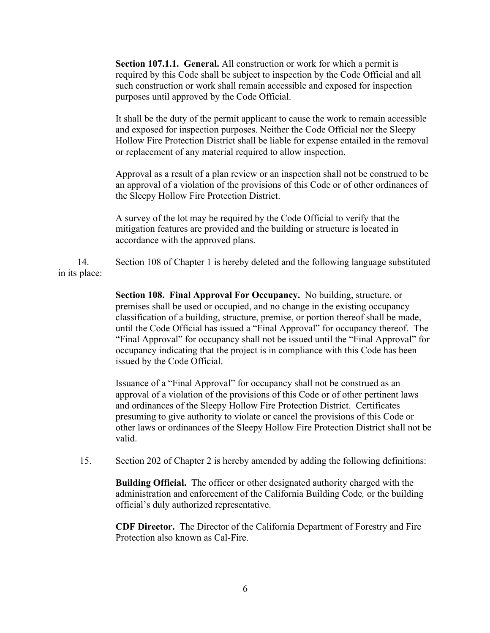**Section 107.1.1. General.** All construction or work for which a permit is required by this Code shall be subject to inspection by the Code Official and all such construction or work shall remain accessible and exposed for inspection purposes until approved by the Code Official.

It shall be the duty of the permit applicant to cause the work to remain accessible and exposed for inspection purposes. Neither the Code Official nor the Sleepy Hollow Fire Protection District shall be liable for expense entailed in the removal or replacement of any material required to allow inspection.

Approval as a result of a plan review or an inspection shall not be construed to be an approval of a violation of the provisions of this Code or of other ordinances of the Sleepy Hollow Fire Protection District.

A survey of the lot may be required by the Code Official to verify that the mitigation features are provided and the building or structure is located in accordance with the approved plans.

 14. Section 108 of Chapter 1 is hereby deleted and the following language substituted in its place:

> **Section 108. Final Approval For Occupancy.** No building, structure, or premises shall be used or occupied, and no change in the existing occupancy classification of a building, structure, premise, or portion thereof shall be made, until the Code Official has issued a "Final Approval" for occupancy thereof. The "Final Approval" for occupancy shall not be issued until the "Final Approval" for occupancy indicating that the project is in compliance with this Code has been issued by the Code Official.

> Issuance of a "Final Approval" for occupancy shall not be construed as an approval of a violation of the provisions of this Code or of other pertinent laws and ordinances of the Sleepy Hollow Fire Protection District. Certificates presuming to give authority to violate or cancel the provisions of this Code or other laws or ordinances of the Sleepy Hollow Fire Protection District shall not be valid.

15. Section 202 of Chapter 2 is hereby amended by adding the following definitions:

**Building Official.** The officer or other designated authority charged with the administration and enforcement of the California Building Code*,* or the building official's duly authorized representative.

**CDF Director.** The Director of the California Department of Forestry and Fire Protection also known as Cal-Fire.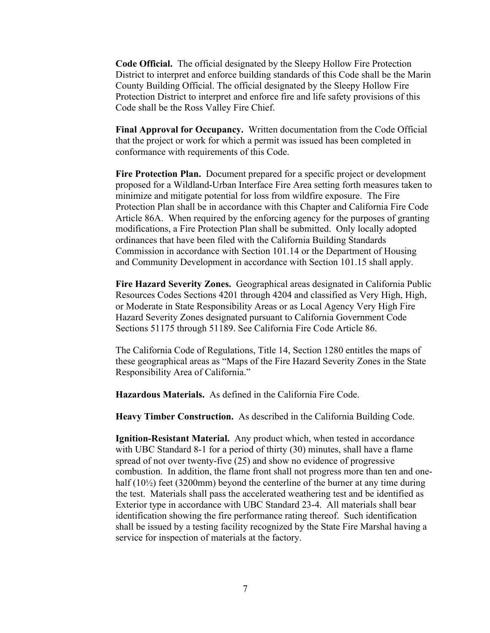**Code Official.** The official designated by the Sleepy Hollow Fire Protection District to interpret and enforce building standards of this Code shall be the Marin County Building Official. The official designated by the Sleepy Hollow Fire Protection District to interpret and enforce fire and life safety provisions of this Code shall be the Ross Valley Fire Chief.

**Final Approval for Occupancy.** Written documentation from the Code Official that the project or work for which a permit was issued has been completed in conformance with requirements of this Code.

**Fire Protection Plan.** Document prepared for a specific project or development proposed for a Wildland-Urban Interface Fire Area setting forth measures taken to minimize and mitigate potential for loss from wildfire exposure. The Fire Protection Plan shall be in accordance with this Chapter and California Fire Code Article 86A. When required by the enforcing agency for the purposes of granting modifications, a Fire Protection Plan shall be submitted. Only locally adopted ordinances that have been filed with the California Building Standards Commission in accordance with Section 101.14 or the Department of Housing and Community Development in accordance with Section 101.15 shall apply.

**Fire Hazard Severity Zones.** Geographical areas designated in California Public Resources Codes Sections 4201 through 4204 and classified as Very High, High, or Moderate in State Responsibility Areas or as Local Agency Very High Fire Hazard Severity Zones designated pursuant to California Government Code Sections 51175 through 51189. See California Fire Code Article 86.

The California Code of Regulations, Title 14, Section 1280 entitles the maps of these geographical areas as "Maps of the Fire Hazard Severity Zones in the State Responsibility Area of California."

**Hazardous Materials.** As defined in the California Fire Code.

**Heavy Timber Construction.** As described in the California Building Code.

**Ignition-Resistant Material.** Any product which, when tested in accordance with UBC Standard 8-1 for a period of thirty (30) minutes, shall have a flame spread of not over twenty-five (25) and show no evidence of progressive combustion. In addition, the flame front shall not progress more than ten and onehalf (10<sup>1/2</sup>) feet (3200mm) beyond the centerline of the burner at any time during the test. Materials shall pass the accelerated weathering test and be identified as Exterior type in accordance with UBC Standard 23-4. All materials shall bear identification showing the fire performance rating thereof. Such identification shall be issued by a testing facility recognized by the State Fire Marshal having a service for inspection of materials at the factory.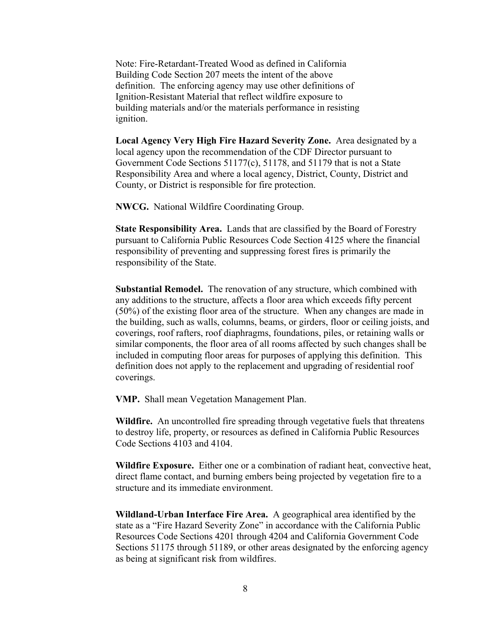Note: Fire-Retardant-Treated Wood as defined in California Building Code Section 207 meets the intent of the above definition. The enforcing agency may use other definitions of Ignition-Resistant Material that reflect wildfire exposure to building materials and/or the materials performance in resisting ignition.

**Local Agency Very High Fire Hazard Severity Zone.** Area designated by a local agency upon the recommendation of the CDF Director pursuant to Government Code Sections 51177(c), 51178, and 51179 that is not a State Responsibility Area and where a local agency, District, County, District and County, or District is responsible for fire protection.

**NWCG.** National Wildfire Coordinating Group.

**State Responsibility Area.** Lands that are classified by the Board of Forestry pursuant to California Public Resources Code Section 4125 where the financial responsibility of preventing and suppressing forest fires is primarily the responsibility of the State.

**Substantial Remodel.** The renovation of any structure, which combined with any additions to the structure, affects a floor area which exceeds fifty percent (50%) of the existing floor area of the structure. When any changes are made in the building, such as walls, columns, beams, or girders, floor or ceiling joists, and coverings, roof rafters, roof diaphragms, foundations, piles, or retaining walls or similar components, the floor area of all rooms affected by such changes shall be included in computing floor areas for purposes of applying this definition. This definition does not apply to the replacement and upgrading of residential roof coverings.

**VMP.** Shall mean Vegetation Management Plan.

**Wildfire.** An uncontrolled fire spreading through vegetative fuels that threatens to destroy life, property, or resources as defined in California Public Resources Code Sections 4103 and 4104.

**Wildfire Exposure.** Either one or a combination of radiant heat, convective heat, direct flame contact, and burning embers being projected by vegetation fire to a structure and its immediate environment.

**Wildland-Urban Interface Fire Area.** A geographical area identified by the state as a "Fire Hazard Severity Zone" in accordance with the California Public Resources Code Sections 4201 through 4204 and California Government Code Sections 51175 through 51189, or other areas designated by the enforcing agency as being at significant risk from wildfires.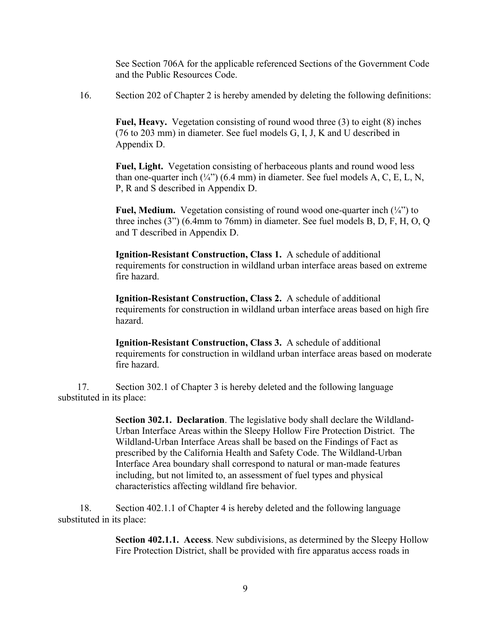See Section 706A for the applicable referenced Sections of the Government Code and the Public Resources Code.

16. Section 202 of Chapter 2 is hereby amended by deleting the following definitions:

**Fuel, Heavy.** Vegetation consisting of round wood three (3) to eight (8) inches (76 to 203 mm) in diameter. See fuel models G, I, J, K and U described in Appendix D.

**Fuel, Light.** Vegetation consisting of herbaceous plants and round wood less than one-quarter inch  $(\frac{1}{4})$  (6.4 mm) in diameter. See fuel models A, C, E, L, N, P, R and S described in Appendix D.

**Fuel, Medium.** Vegetation consisting of round wood one-quarter inch (¼") to three inches (3") (6.4mm to 76mm) in diameter. See fuel models B, D, F, H, O, Q and T described in Appendix D.

**Ignition-Resistant Construction, Class 1.** A schedule of additional requirements for construction in wildland urban interface areas based on extreme fire hazard.

**Ignition-Resistant Construction, Class 2.** A schedule of additional requirements for construction in wildland urban interface areas based on high fire hazard.

**Ignition-Resistant Construction, Class 3.** A schedule of additional requirements for construction in wildland urban interface areas based on moderate fire hazard.

 17. Section 302.1 of Chapter 3 is hereby deleted and the following language substituted in its place:

> **Section 302.1. Declaration**. The legislative body shall declare the Wildland-Urban Interface Areas within the Sleepy Hollow Fire Protection District. The Wildland-Urban Interface Areas shall be based on the Findings of Fact as prescribed by the California Health and Safety Code. The Wildland-Urban Interface Area boundary shall correspond to natural or man-made features including, but not limited to, an assessment of fuel types and physical characteristics affecting wildland fire behavior.

 18. Section 402.1.1 of Chapter 4 is hereby deleted and the following language substituted in its place:

> **Section 402.1.1. Access**. New subdivisions, as determined by the Sleepy Hollow Fire Protection District, shall be provided with fire apparatus access roads in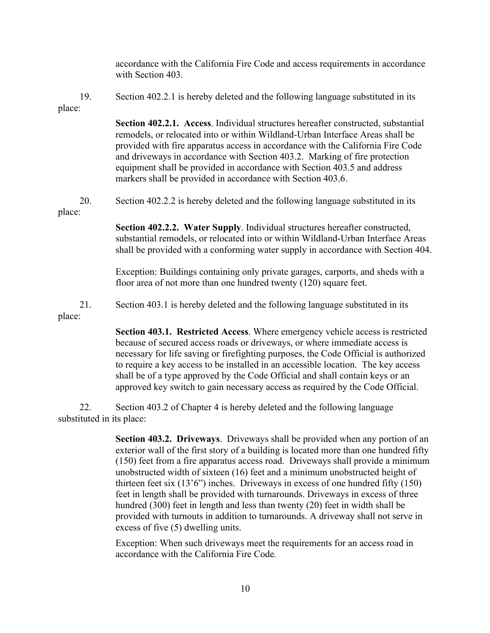|               | accordance with the California Fire Code and access requirements in accordance<br>with Section 403.                                                                                                                                                                                                                                                                                                                                                                                                         |
|---------------|-------------------------------------------------------------------------------------------------------------------------------------------------------------------------------------------------------------------------------------------------------------------------------------------------------------------------------------------------------------------------------------------------------------------------------------------------------------------------------------------------------------|
| 19.<br>place: | Section 402.2.1 is hereby deleted and the following language substituted in its                                                                                                                                                                                                                                                                                                                                                                                                                             |
|               | Section 402.2.1. Access. Individual structures hereafter constructed, substantial<br>remodels, or relocated into or within Wildland-Urban Interface Areas shall be<br>provided with fire apparatus access in accordance with the California Fire Code<br>and driveways in accordance with Section 403.2. Marking of fire protection<br>equipment shall be provided in accordance with Section 403.5 and address<br>markers shall be provided in accordance with Section 403.6.                              |
| 20.<br>place: | Section 402.2.2 is hereby deleted and the following language substituted in its                                                                                                                                                                                                                                                                                                                                                                                                                             |
|               | Section 402.2.2. Water Supply. Individual structures hereafter constructed,<br>substantial remodels, or relocated into or within Wildland-Urban Interface Areas<br>shall be provided with a conforming water supply in accordance with Section 404.                                                                                                                                                                                                                                                         |
|               | Exception: Buildings containing only private garages, carports, and sheds with a<br>floor area of not more than one hundred twenty (120) square feet.                                                                                                                                                                                                                                                                                                                                                       |
| 21.<br>place: | Section 403.1 is hereby deleted and the following language substituted in its                                                                                                                                                                                                                                                                                                                                                                                                                               |
|               | Section 403.1. Restricted Access. Where emergency vehicle access is restricted<br>because of secured access roads or driveways, or where immediate access is<br>necessary for life saving or firefighting purposes, the Code Official is authorized<br>to require a key access to be installed in an accessible location. The key access<br>shall be of a type approved by the Code Official and shall contain keys or an<br>approved key switch to gain necessary access as required by the Code Official. |
| 22.           | Section 403.2 of Chapter 4 is hereby deleted and the following language<br>substituted in its place:                                                                                                                                                                                                                                                                                                                                                                                                        |

**Section 403.2. Driveways**. Driveways shall be provided when any portion of an exterior wall of the first story of a building is located more than one hundred fifty (150) feet from a fire apparatus access road. Driveways shall provide a minimum unobstructed width of sixteen (16) feet and a minimum unobstructed height of thirteen feet six (13'6") inches. Driveways in excess of one hundred fifty (150) feet in length shall be provided with turnarounds. Driveways in excess of three hundred (300) feet in length and less than twenty (20) feet in width shall be provided with turnouts in addition to turnarounds. A driveway shall not serve in excess of five (5) dwelling units.

Exception: When such driveways meet the requirements for an access road in accordance with the California Fire Code*.*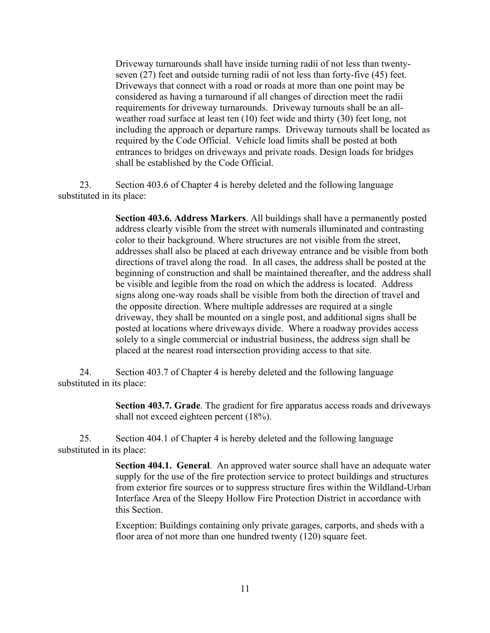Driveway turnarounds shall have inside turning radii of not less than twentyseven (27) feet and outside turning radii of not less than forty-five (45) feet. Driveways that connect with a road or roads at more than one point may be considered as having a turnaround if all changes of direction meet the radii requirements for driveway turnarounds. Driveway turnouts shall be an allweather road surface at least ten (10) feet wide and thirty (30) feet long, not including the approach or departure ramps. Driveway turnouts shall be located as required by the Code Official. Vehicle load limits shall be posted at both entrances to bridges on driveways and private roads. Design loads for bridges shall be established by the Code Official.

 23. Section 403.6 of Chapter 4 is hereby deleted and the following language substituted in its place:

> **Section 403.6. Address Markers**. All buildings shall have a permanently posted address clearly visible from the street with numerals illuminated and contrasting color to their background. Where structures are not visible from the street, addresses shall also be placed at each driveway entrance and be visible from both directions of travel along the road. In all cases, the address shall be posted at the beginning of construction and shall be maintained thereafter, and the address shall be visible and legible from the road on which the address is located. Address signs along one-way roads shall be visible from both the direction of travel and the opposite direction. Where multiple addresses are required at a single driveway, they shall be mounted on a single post, and additional signs shall be posted at locations where driveways divide. Where a roadway provides access solely to a single commercial or industrial business, the address sign shall be placed at the nearest road intersection providing access to that site.

 24. Section 403.7 of Chapter 4 is hereby deleted and the following language substituted in its place:

> **Section 403.7. Grade**. The gradient for fire apparatus access roads and driveways shall not exceed eighteen percent (18%).

 25. Section 404.1 of Chapter 4 is hereby deleted and the following language substituted in its place:

> **Section 404.1. General**. An approved water source shall have an adequate water supply for the use of the fire protection service to protect buildings and structures from exterior fire sources or to suppress structure fires within the Wildland-Urban Interface Area of the Sleepy Hollow Fire Protection District in accordance with this Section.

Exception: Buildings containing only private garages, carports, and sheds with a floor area of not more than one hundred twenty (120) square feet.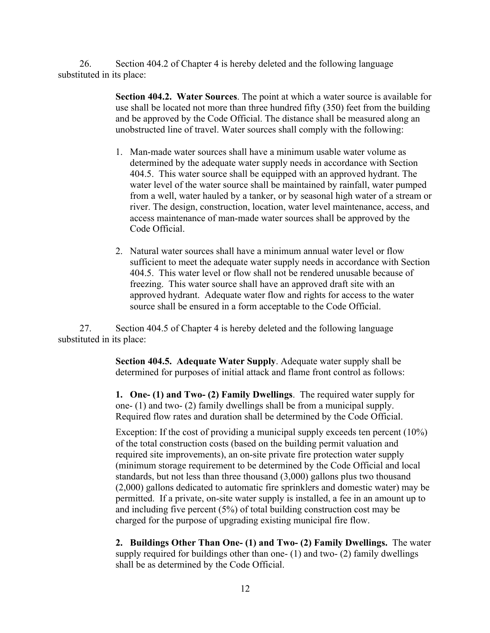26. Section 404.2 of Chapter 4 is hereby deleted and the following language substituted in its place:

> **Section 404.2. Water Sources**. The point at which a water source is available for use shall be located not more than three hundred fifty (350) feet from the building and be approved by the Code Official. The distance shall be measured along an unobstructed line of travel. Water sources shall comply with the following:

- 1. Man-made water sources shall have a minimum usable water volume as determined by the adequate water supply needs in accordance with Section 404.5. This water source shall be equipped with an approved hydrant. The water level of the water source shall be maintained by rainfall, water pumped from a well, water hauled by a tanker, or by seasonal high water of a stream or river. The design, construction, location, water level maintenance, access, and access maintenance of man-made water sources shall be approved by the Code Official.
- 2. Natural water sources shall have a minimum annual water level or flow sufficient to meet the adequate water supply needs in accordance with Section 404.5. This water level or flow shall not be rendered unusable because of freezing. This water source shall have an approved draft site with an approved hydrant. Adequate water flow and rights for access to the water source shall be ensured in a form acceptable to the Code Official.

 27. Section 404.5 of Chapter 4 is hereby deleted and the following language substituted in its place:

> **Section 404.5. Adequate Water Supply**. Adequate water supply shall be determined for purposes of initial attack and flame front control as follows:

**1. One- (1) and Two- (2) Family Dwellings**. The required water supply for one- (1) and two- (2) family dwellings shall be from a municipal supply. Required flow rates and duration shall be determined by the Code Official.

Exception: If the cost of providing a municipal supply exceeds ten percent (10%) of the total construction costs (based on the building permit valuation and required site improvements), an on-site private fire protection water supply (minimum storage requirement to be determined by the Code Official and local standards, but not less than three thousand (3,000) gallons plus two thousand (2,000) gallons dedicated to automatic fire sprinklers and domestic water) may be permitted. If a private, on-site water supply is installed, a fee in an amount up to and including five percent (5%) of total building construction cost may be charged for the purpose of upgrading existing municipal fire flow.

**2. Buildings Other Than One- (1) and Two- (2) Family Dwellings.** The water supply required for buildings other than one- (1) and two- (2) family dwellings shall be as determined by the Code Official.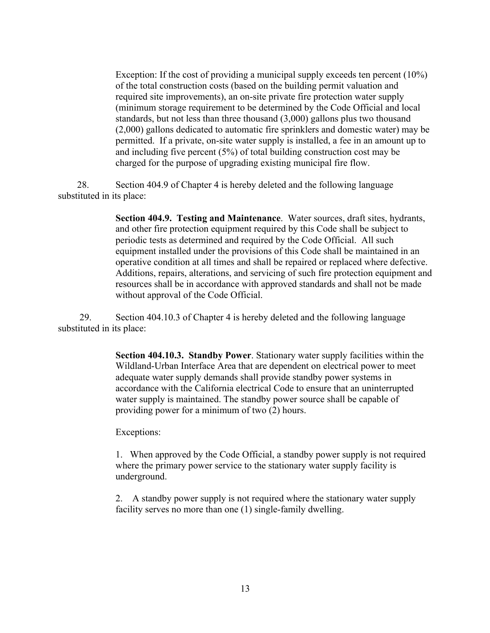Exception: If the cost of providing a municipal supply exceeds ten percent (10%) of the total construction costs (based on the building permit valuation and required site improvements), an on-site private fire protection water supply (minimum storage requirement to be determined by the Code Official and local standards, but not less than three thousand (3,000) gallons plus two thousand (2,000) gallons dedicated to automatic fire sprinklers and domestic water) may be permitted. If a private, on-site water supply is installed, a fee in an amount up to and including five percent (5%) of total building construction cost may be charged for the purpose of upgrading existing municipal fire flow.

 28. Section 404.9 of Chapter 4 is hereby deleted and the following language substituted in its place:

> **Section 404.9. Testing and Maintenance**. Water sources, draft sites, hydrants, and other fire protection equipment required by this Code shall be subject to periodic tests as determined and required by the Code Official. All such equipment installed under the provisions of this Code shall be maintained in an operative condition at all times and shall be repaired or replaced where defective. Additions, repairs, alterations, and servicing of such fire protection equipment and resources shall be in accordance with approved standards and shall not be made without approval of the Code Official.

 29. Section 404.10.3 of Chapter 4 is hereby deleted and the following language substituted in its place:

> **Section 404.10.3. Standby Power**. Stationary water supply facilities within the Wildland-Urban Interface Area that are dependent on electrical power to meet adequate water supply demands shall provide standby power systems in accordance with the California electrical Code to ensure that an uninterrupted water supply is maintained. The standby power source shall be capable of providing power for a minimum of two (2) hours.

Exceptions:

1. When approved by the Code Official, a standby power supply is not required where the primary power service to the stationary water supply facility is underground.

2. A standby power supply is not required where the stationary water supply facility serves no more than one (1) single-family dwelling.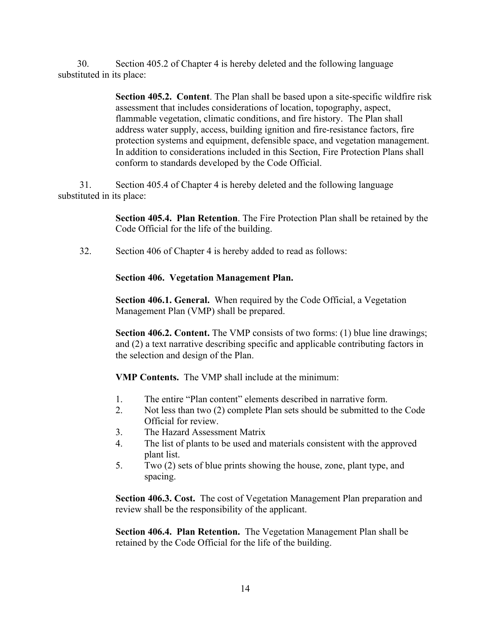30. Section 405.2 of Chapter 4 is hereby deleted and the following language substituted in its place:

> **Section 405.2. Content**. The Plan shall be based upon a site-specific wildfire risk assessment that includes considerations of location, topography, aspect, flammable vegetation, climatic conditions, and fire history. The Plan shall address water supply, access, building ignition and fire-resistance factors, fire protection systems and equipment, defensible space, and vegetation management. In addition to considerations included in this Section, Fire Protection Plans shall conform to standards developed by the Code Official.

 31. Section 405.4 of Chapter 4 is hereby deleted and the following language substituted in its place:

> **Section 405.4. Plan Retention**. The Fire Protection Plan shall be retained by the Code Official for the life of the building.

32. Section 406 of Chapter 4 is hereby added to read as follows:

 **Section 406. Vegetation Management Plan.**

**Section 406.1. General.** When required by the Code Official, a Vegetation Management Plan (VMP) shall be prepared.

**Section 406.2. Content.** The VMP consists of two forms: (1) blue line drawings; and (2) a text narrative describing specific and applicable contributing factors in the selection and design of the Plan.

**VMP Contents.** The VMP shall include at the minimum:

- 1. The entire "Plan content" elements described in narrative form.
- 2. Not less than two (2) complete Plan sets should be submitted to the Code Official for review.
- 3. The Hazard Assessment Matrix
- 4. The list of plants to be used and materials consistent with the approved plant list.
- 5. Two (2) sets of blue prints showing the house, zone, plant type, and spacing.

**Section 406.3. Cost.** The cost of Vegetation Management Plan preparation and review shall be the responsibility of the applicant.

**Section 406.4. Plan Retention.** The Vegetation Management Plan shall be retained by the Code Official for the life of the building.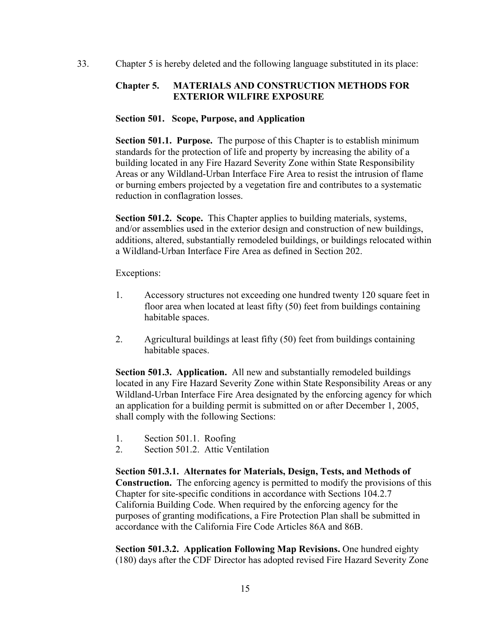33. Chapter 5 is hereby deleted and the following language substituted in its place:

# **Chapter 5. MATERIALS AND CONSTRUCTION METHODS FOR EXTERIOR WILFIRE EXPOSURE**

### **Section 501. Scope, Purpose, and Application**

**Section 501.1. Purpose.** The purpose of this Chapter is to establish minimum standards for the protection of life and property by increasing the ability of a building located in any Fire Hazard Severity Zone within State Responsibility Areas or any Wildland-Urban Interface Fire Area to resist the intrusion of flame or burning embers projected by a vegetation fire and contributes to a systematic reduction in conflagration losses.

**Section 501.2. Scope.** This Chapter applies to building materials, systems, and/or assemblies used in the exterior design and construction of new buildings, additions, altered, substantially remodeled buildings, or buildings relocated within a Wildland-Urban Interface Fire Area as defined in Section 202.

Exceptions:

- 1. Accessory structures not exceeding one hundred twenty 120 square feet in floor area when located at least fifty (50) feet from buildings containing habitable spaces.
- 2. Agricultural buildings at least fifty (50) feet from buildings containing habitable spaces.

**Section 501.3. Application.** All new and substantially remodeled buildings located in any Fire Hazard Severity Zone within State Responsibility Areas or any Wildland-Urban Interface Fire Area designated by the enforcing agency for which an application for a building permit is submitted on or after December 1, 2005, shall comply with the following Sections:

- 1. Section 501.1. Roofing
- 2. Section 501.2. Attic Ventilation

**Section 501.3.1. Alternates for Materials, Design, Tests, and Methods of Construction.** The enforcing agency is permitted to modify the provisions of this Chapter for site-specific conditions in accordance with Sections 104.2.7 California Building Code. When required by the enforcing agency for the purposes of granting modifications, a Fire Protection Plan shall be submitted in accordance with the California Fire Code Articles 86A and 86B.

**Section 501.3.2. Application Following Map Revisions.** One hundred eighty (180) days after the CDF Director has adopted revised Fire Hazard Severity Zone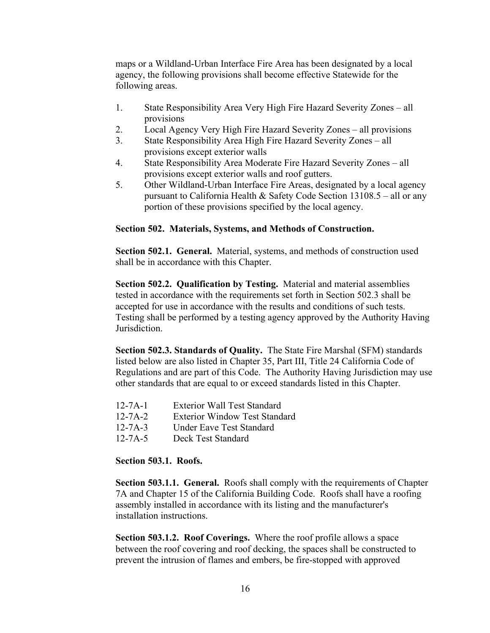maps or a Wildland-Urban Interface Fire Area has been designated by a local agency, the following provisions shall become effective Statewide for the following areas.

- 1. State Responsibility Area Very High Fire Hazard Severity Zones all provisions
- 2. Local Agency Very High Fire Hazard Severity Zones all provisions
- 3. State Responsibility Area High Fire Hazard Severity Zones all provisions except exterior walls
- 4. State Responsibility Area Moderate Fire Hazard Severity Zones all provisions except exterior walls and roof gutters.
- 5. Other Wildland-Urban Interface Fire Areas, designated by a local agency pursuant to California Health & Safety Code Section 13108.5 – all or any portion of these provisions specified by the local agency.

#### **Section 502. Materials, Systems, and Methods of Construction.**

**Section 502.1. General.** Material, systems, and methods of construction used shall be in accordance with this Chapter.

**Section 502.2. Qualification by Testing.** Material and material assemblies tested in accordance with the requirements set forth in Section 502.3 shall be accepted for use in accordance with the results and conditions of such tests. Testing shall be performed by a testing agency approved by the Authority Having Jurisdiction.

**Section 502.3. Standards of Quality.** The State Fire Marshal (SFM) standards listed below are also listed in Chapter 35, Part III, Title 24 California Code of Regulations and are part of this Code. The Authority Having Jurisdiction may use other standards that are equal to or exceed standards listed in this Chapter.

- 12-7A-1 Exterior Wall Test Standard
- 12-7A-2 Exterior Window Test Standard
- 12-7A-3 Under Eave Test Standard
- 12-7A-5 Deck Test Standard

### **Section 503.1. Roofs.**

**Section 503.1.1. General.** Roofs shall comply with the requirements of Chapter 7A and Chapter 15 of the California Building Code. Roofs shall have a roofing assembly installed in accordance with its listing and the manufacturer's installation instructions.

**Section 503.1.2. Roof Coverings.** Where the roof profile allows a space between the roof covering and roof decking, the spaces shall be constructed to prevent the intrusion of flames and embers, be fire-stopped with approved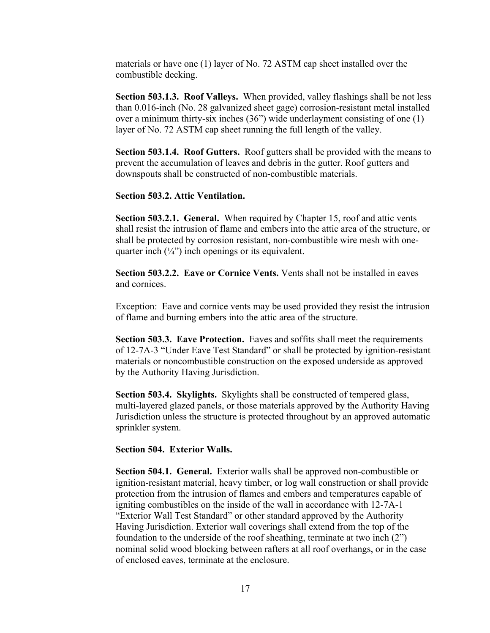materials or have one (1) layer of No. 72 ASTM cap sheet installed over the combustible decking.

**Section 503.1.3. Roof Valleys.** When provided, valley flashings shall be not less than 0.016-inch (No. 28 galvanized sheet gage) corrosion-resistant metal installed over a minimum thirty-six inches (36") wide underlayment consisting of one (1) layer of No. 72 ASTM cap sheet running the full length of the valley.

**Section 503.1.4. Roof Gutters.** Roof gutters shall be provided with the means to prevent the accumulation of leaves and debris in the gutter. Roof gutters and downspouts shall be constructed of non-combustible materials.

### **Section 503.2. Attic Ventilation.**

**Section 503.2.1. General.** When required by Chapter 15, roof and attic vents shall resist the intrusion of flame and embers into the attic area of the structure, or shall be protected by corrosion resistant, non-combustible wire mesh with onequarter inch  $(\frac{1}{4})$  inch openings or its equivalent.

**Section 503.2.2. Eave or Cornice Vents.** Vents shall not be installed in eaves and cornices.

Exception: Eave and cornice vents may be used provided they resist the intrusion of flame and burning embers into the attic area of the structure.

**Section 503.3. Eave Protection.** Eaves and soffits shall meet the requirements of 12-7A-3 "Under Eave Test Standard" or shall be protected by ignition-resistant materials or noncombustible construction on the exposed underside as approved by the Authority Having Jurisdiction.

**Section 503.4. Skylights.** Skylights shall be constructed of tempered glass, multi-layered glazed panels, or those materials approved by the Authority Having Jurisdiction unless the structure is protected throughout by an approved automatic sprinkler system.

### **Section 504. Exterior Walls.**

**Section 504.1. General.** Exterior walls shall be approved non-combustible or ignition-resistant material, heavy timber, or log wall construction or shall provide protection from the intrusion of flames and embers and temperatures capable of igniting combustibles on the inside of the wall in accordance with 12-7A-1 "Exterior Wall Test Standard" or other standard approved by the Authority Having Jurisdiction. Exterior wall coverings shall extend from the top of the foundation to the underside of the roof sheathing, terminate at two inch (2") nominal solid wood blocking between rafters at all roof overhangs, or in the case of enclosed eaves, terminate at the enclosure.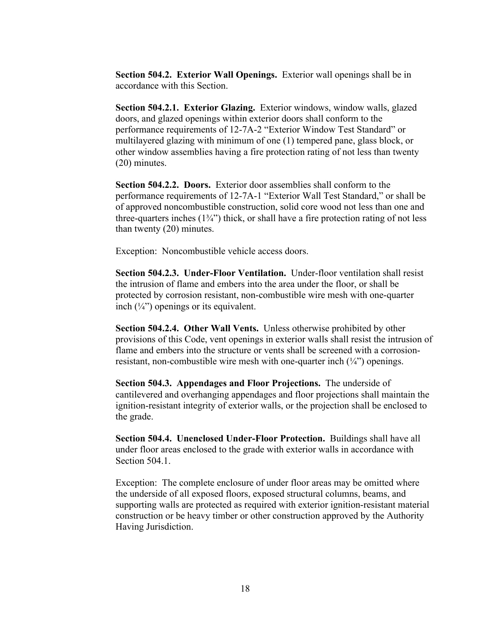**Section 504.2. Exterior Wall Openings.** Exterior wall openings shall be in accordance with this Section.

**Section 504.2.1. Exterior Glazing.** Exterior windows, window walls, glazed doors, and glazed openings within exterior doors shall conform to the performance requirements of 12-7A-2 "Exterior Window Test Standard" or multilayered glazing with minimum of one (1) tempered pane, glass block, or other window assemblies having a fire protection rating of not less than twenty (20) minutes.

**Section 504.2.2. Doors.** Exterior door assemblies shall conform to the performance requirements of 12-7A-1 "Exterior Wall Test Standard," or shall be of approved noncombustible construction, solid core wood not less than one and three-quarters inches  $(1\frac{3}{4})$  thick, or shall have a fire protection rating of not less than twenty (20) minutes.

Exception: Noncombustible vehicle access doors.

**Section 504.2.3. Under-Floor Ventilation.** Under-floor ventilation shall resist the intrusion of flame and embers into the area under the floor, or shall be protected by corrosion resistant, non-combustible wire mesh with one-quarter inch  $(\frac{1}{4})$  openings or its equivalent.

**Section 504.2.4. Other Wall Vents.** Unless otherwise prohibited by other provisions of this Code, vent openings in exterior walls shall resist the intrusion of flame and embers into the structure or vents shall be screened with a corrosionresistant, non-combustible wire mesh with one-quarter inch  $(\frac{1}{4})$  openings.

**Section 504.3. Appendages and Floor Projections.** The underside of cantilevered and overhanging appendages and floor projections shall maintain the ignition-resistant integrity of exterior walls, or the projection shall be enclosed to the grade.

**Section 504.4. Unenclosed Under-Floor Protection.** Buildings shall have all under floor areas enclosed to the grade with exterior walls in accordance with Section 504.1.

Exception: The complete enclosure of under floor areas may be omitted where the underside of all exposed floors, exposed structural columns, beams, and supporting walls are protected as required with exterior ignition-resistant material construction or be heavy timber or other construction approved by the Authority Having Jurisdiction.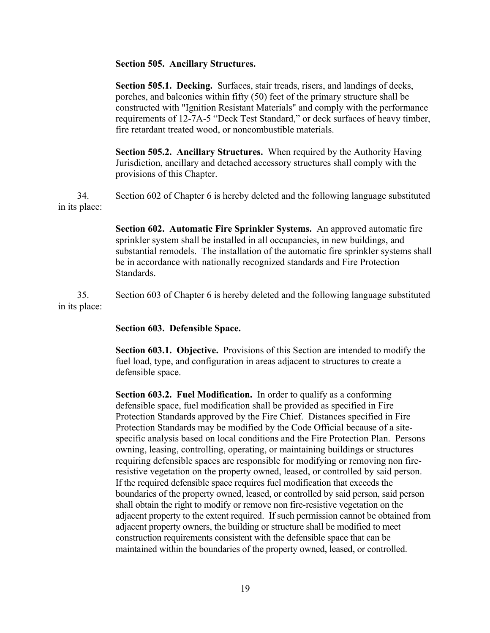#### **Section 505. Ancillary Structures.**

**Section 505.1. Decking.** Surfaces, stair treads, risers, and landings of decks, porches, and balconies within fifty (50) feet of the primary structure shall be constructed with "Ignition Resistant Materials" and comply with the performance requirements of 12-7A-5 "Deck Test Standard," or deck surfaces of heavy timber, fire retardant treated wood, or noncombustible materials.

**Section 505.2. Ancillary Structures.** When required by the Authority Having Jurisdiction, ancillary and detached accessory structures shall comply with the provisions of this Chapter.

 34. Section 602 of Chapter 6 is hereby deleted and the following language substituted in its place:

> **Section 602. Automatic Fire Sprinkler Systems.** An approved automatic fire sprinkler system shall be installed in all occupancies, in new buildings, and substantial remodels. The installation of the automatic fire sprinkler systems shall be in accordance with nationally recognized standards and Fire Protection Standards.

 35. Section 603 of Chapter 6 is hereby deleted and the following language substituted in its place:

#### **Section 603. Defensible Space.**

**Section 603.1. Objective.** Provisions of this Section are intended to modify the fuel load, type, and configuration in areas adjacent to structures to create a defensible space.

**Section 603.2. Fuel Modification.** In order to qualify as a conforming defensible space, fuel modification shall be provided as specified in Fire Protection Standards approved by the Fire Chief. Distances specified in Fire Protection Standards may be modified by the Code Official because of a sitespecific analysis based on local conditions and the Fire Protection Plan. Persons owning, leasing, controlling, operating, or maintaining buildings or structures requiring defensible spaces are responsible for modifying or removing non fireresistive vegetation on the property owned, leased, or controlled by said person. If the required defensible space requires fuel modification that exceeds the boundaries of the property owned, leased, or controlled by said person, said person shall obtain the right to modify or remove non fire-resistive vegetation on the adjacent property to the extent required. If such permission cannot be obtained from adjacent property owners, the building or structure shall be modified to meet construction requirements consistent with the defensible space that can be maintained within the boundaries of the property owned, leased, or controlled.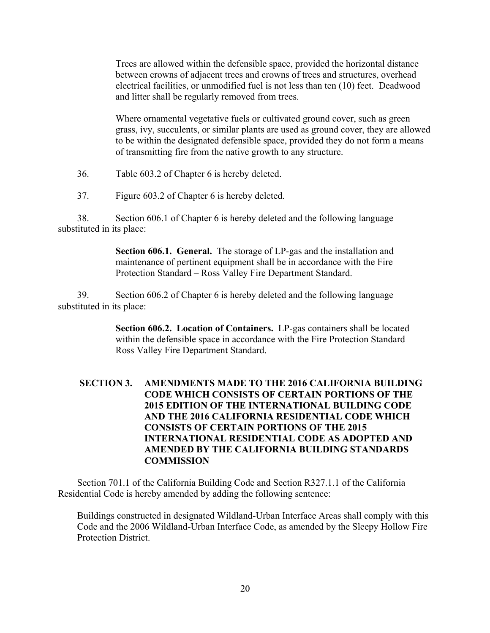Trees are allowed within the defensible space, provided the horizontal distance between crowns of adjacent trees and crowns of trees and structures, overhead electrical facilities, or unmodified fuel is not less than ten (10) feet. Deadwood and litter shall be regularly removed from trees.

Where ornamental vegetative fuels or cultivated ground cover, such as green grass, ivy, succulents, or similar plants are used as ground cover, they are allowed to be within the designated defensible space, provided they do not form a means of transmitting fire from the native growth to any structure.

- 36. Table 603.2 of Chapter 6 is hereby deleted.
- 37. Figure 603.2 of Chapter 6 is hereby deleted.

 38. Section 606.1 of Chapter 6 is hereby deleted and the following language substituted in its place:

> **Section 606.1. General.** The storage of LP-gas and the installation and maintenance of pertinent equipment shall be in accordance with the Fire Protection Standard – Ross Valley Fire Department Standard.

 39. Section 606.2 of Chapter 6 is hereby deleted and the following language substituted in its place:

> **Section 606.2. Location of Containers.** LP-gas containers shall be located within the defensible space in accordance with the Fire Protection Standard – Ross Valley Fire Department Standard.

# **SECTION 3. AMENDMENTS MADE TO THE 2016 CALIFORNIA BUILDING CODE WHICH CONSISTS OF CERTAIN PORTIONS OF THE 2015 EDITION OF THE INTERNATIONAL BUILDING CODE AND THE 2016 CALIFORNIA RESIDENTIAL CODE WHICH CONSISTS OF CERTAIN PORTIONS OF THE 2015 INTERNATIONAL RESIDENTIAL CODE AS ADOPTED AND AMENDED BY THE CALIFORNIA BUILDING STANDARDS COMMISSION**

 Section 701.1 of the California Building Code and Section R327.1.1 of the California Residential Code is hereby amended by adding the following sentence:

 Buildings constructed in designated Wildland-Urban Interface Areas shall comply with this Code and the 2006 Wildland-Urban Interface Code, as amended by the Sleepy Hollow Fire Protection District.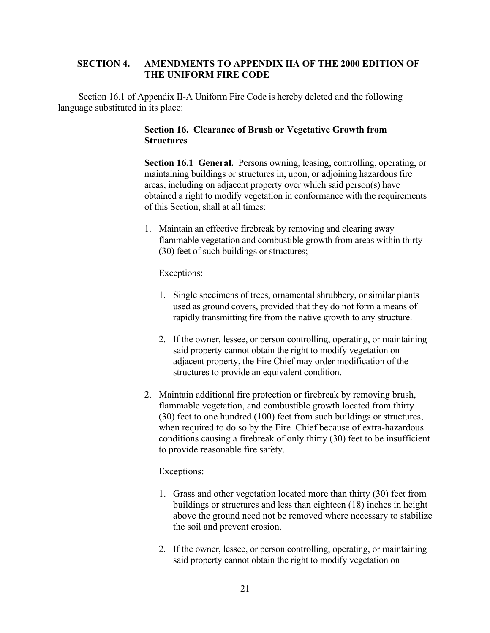# **SECTION 4. AMENDMENTS TO APPENDIX IIA OF THE 2000 EDITION OF THE UNIFORM FIRE CODE**

 Section 16.1 of Appendix II-A Uniform Fire Code is hereby deleted and the following language substituted in its place:

# **Section 16. Clearance of Brush or Vegetative Growth from Structures**

**Section 16.1 General.** Persons owning, leasing, controlling, operating, or maintaining buildings or structures in, upon, or adjoining hazardous fire areas, including on adjacent property over which said person(s) have obtained a right to modify vegetation in conformance with the requirements of this Section, shall at all times:

1. Maintain an effective firebreak by removing and clearing away flammable vegetation and combustible growth from areas within thirty (30) feet of such buildings or structures;

Exceptions:

- 1. Single specimens of trees, ornamental shrubbery, or similar plants used as ground covers, provided that they do not form a means of rapidly transmitting fire from the native growth to any structure.
- 2. If the owner, lessee, or person controlling, operating, or maintaining said property cannot obtain the right to modify vegetation on adjacent property, the Fire Chief may order modification of the structures to provide an equivalent condition.
- 2. Maintain additional fire protection or firebreak by removing brush, flammable vegetation, and combustible growth located from thirty (30) feet to one hundred (100) feet from such buildings or structures, when required to do so by the Fire Chief because of extra-hazardous conditions causing a firebreak of only thirty (30) feet to be insufficient to provide reasonable fire safety.

## Exceptions:

- 1. Grass and other vegetation located more than thirty (30) feet from buildings or structures and less than eighteen (18) inches in height above the ground need not be removed where necessary to stabilize the soil and prevent erosion.
- 2. If the owner, lessee, or person controlling, operating, or maintaining said property cannot obtain the right to modify vegetation on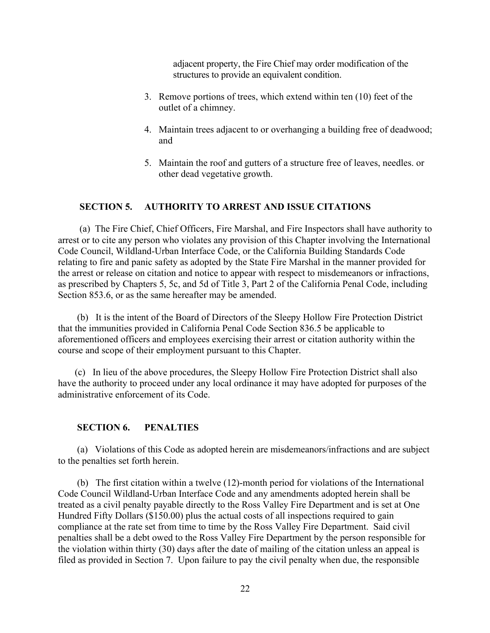adjacent property, the Fire Chief may order modification of the structures to provide an equivalent condition.

- 3. Remove portions of trees, which extend within ten (10) feet of the outlet of a chimney.
- 4. Maintain trees adjacent to or overhanging a building free of deadwood; and
- 5. Maintain the roof and gutters of a structure free of leaves, needles. or other dead vegetative growth.

# **SECTION 5. AUTHORITY TO ARREST AND ISSUE CITATIONS**

 (a) The Fire Chief, Chief Officers, Fire Marshal, and Fire Inspectors shall have authority to arrest or to cite any person who violates any provision of this Chapter involving the International Code Council, Wildland-Urban Interface Code, or the California Building Standards Code relating to fire and panic safety as adopted by the State Fire Marshal in the manner provided for the arrest or release on citation and notice to appear with respect to misdemeanors or infractions, as prescribed by Chapters 5, 5c, and 5d of Title 3, Part 2 of the California Penal Code, including Section 853.6, or as the same hereafter may be amended.

 (b) It is the intent of the Board of Directors of the Sleepy Hollow Fire Protection District that the immunities provided in California Penal Code Section 836.5 be applicable to aforementioned officers and employees exercising their arrest or citation authority within the course and scope of their employment pursuant to this Chapter.

 (c) In lieu of the above procedures, the Sleepy Hollow Fire Protection District shall also have the authority to proceed under any local ordinance it may have adopted for purposes of the administrative enforcement of its Code.

### **SECTION 6. PENALTIES**

 (a) Violations of this Code as adopted herein are misdemeanors/infractions and are subject to the penalties set forth herein.

 (b) The first citation within a twelve (12)-month period for violations of the International Code Council Wildland-Urban Interface Code and any amendments adopted herein shall be treated as a civil penalty payable directly to the Ross Valley Fire Department and is set at One Hundred Fifty Dollars (\$150.00) plus the actual costs of all inspections required to gain compliance at the rate set from time to time by the Ross Valley Fire Department. Said civil penalties shall be a debt owed to the Ross Valley Fire Department by the person responsible for the violation within thirty (30) days after the date of mailing of the citation unless an appeal is filed as provided in Section 7. Upon failure to pay the civil penalty when due, the responsible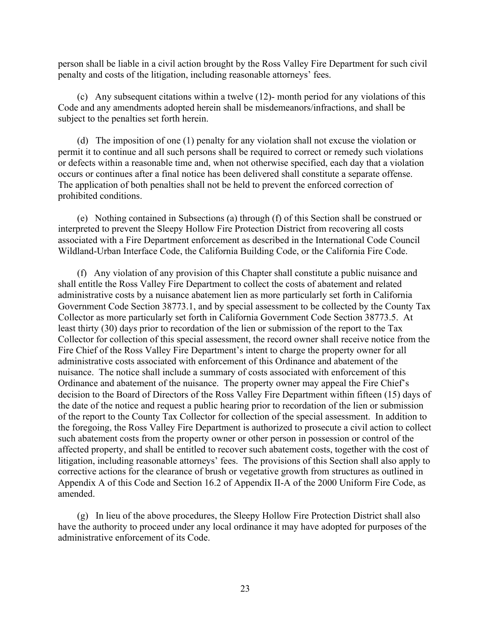person shall be liable in a civil action brought by the Ross Valley Fire Department for such civil penalty and costs of the litigation, including reasonable attorneys' fees.

 (c) Any subsequent citations within a twelve (12)- month period for any violations of this Code and any amendments adopted herein shall be misdemeanors/infractions, and shall be subject to the penalties set forth herein.

 (d) The imposition of one (1) penalty for any violation shall not excuse the violation or permit it to continue and all such persons shall be required to correct or remedy such violations or defects within a reasonable time and, when not otherwise specified, each day that a violation occurs or continues after a final notice has been delivered shall constitute a separate offense. The application of both penalties shall not be held to prevent the enforced correction of prohibited conditions.

 (e) Nothing contained in Subsections (a) through (f) of this Section shall be construed or interpreted to prevent the Sleepy Hollow Fire Protection District from recovering all costs associated with a Fire Department enforcement as described in the International Code Council Wildland-Urban Interface Code, the California Building Code, or the California Fire Code.

 (f) Any violation of any provision of this Chapter shall constitute a public nuisance and shall entitle the Ross Valley Fire Department to collect the costs of abatement and related administrative costs by a nuisance abatement lien as more particularly set forth in California Government Code Section 38773.1, and by special assessment to be collected by the County Tax Collector as more particularly set forth in California Government Code Section 38773.5. At least thirty (30) days prior to recordation of the lien or submission of the report to the Tax Collector for collection of this special assessment, the record owner shall receive notice from the Fire Chief of the Ross Valley Fire Department's intent to charge the property owner for all administrative costs associated with enforcement of this Ordinance and abatement of the nuisance. The notice shall include a summary of costs associated with enforcement of this Ordinance and abatement of the nuisance. The property owner may appeal the Fire Chief's decision to the Board of Directors of the Ross Valley Fire Department within fifteen (15) days of the date of the notice and request a public hearing prior to recordation of the lien or submission of the report to the County Tax Collector for collection of the special assessment. In addition to the foregoing, the Ross Valley Fire Department is authorized to prosecute a civil action to collect such abatement costs from the property owner or other person in possession or control of the affected property, and shall be entitled to recover such abatement costs, together with the cost of litigation, including reasonable attorneys' fees. The provisions of this Section shall also apply to corrective actions for the clearance of brush or vegetative growth from structures as outlined in Appendix A of this Code and Section 16.2 of Appendix II-A of the 2000 Uniform Fire Code, as amended.

 (g) In lieu of the above procedures, the Sleepy Hollow Fire Protection District shall also have the authority to proceed under any local ordinance it may have adopted for purposes of the administrative enforcement of its Code.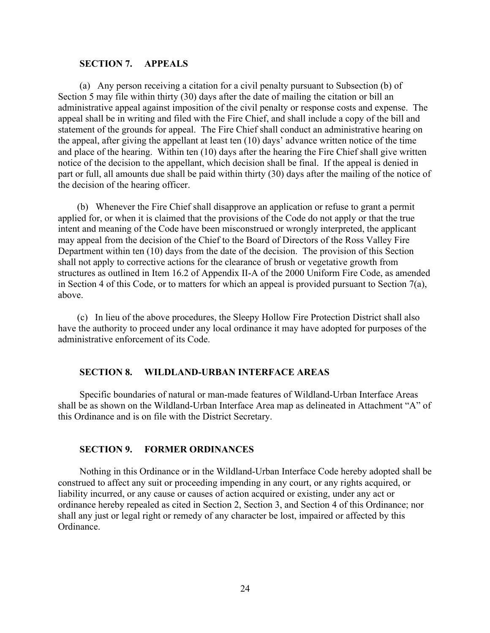### **SECTION 7. APPEALS**

 (a) Any person receiving a citation for a civil penalty pursuant to Subsection (b) of Section 5 may file within thirty (30) days after the date of mailing the citation or bill an administrative appeal against imposition of the civil penalty or response costs and expense. The appeal shall be in writing and filed with the Fire Chief, and shall include a copy of the bill and statement of the grounds for appeal. The Fire Chief shall conduct an administrative hearing on the appeal, after giving the appellant at least ten (10) days' advance written notice of the time and place of the hearing. Within ten (10) days after the hearing the Fire Chief shall give written notice of the decision to the appellant, which decision shall be final. If the appeal is denied in part or full, all amounts due shall be paid within thirty (30) days after the mailing of the notice of the decision of the hearing officer.

 (b) Whenever the Fire Chief shall disapprove an application or refuse to grant a permit applied for, or when it is claimed that the provisions of the Code do not apply or that the true intent and meaning of the Code have been misconstrued or wrongly interpreted, the applicant may appeal from the decision of the Chief to the Board of Directors of the Ross Valley Fire Department within ten (10) days from the date of the decision. The provision of this Section shall not apply to corrective actions for the clearance of brush or vegetative growth from structures as outlined in Item 16.2 of Appendix II-A of the 2000 Uniform Fire Code, as amended in Section 4 of this Code, or to matters for which an appeal is provided pursuant to Section 7(a), above.

 (c) In lieu of the above procedures, the Sleepy Hollow Fire Protection District shall also have the authority to proceed under any local ordinance it may have adopted for purposes of the administrative enforcement of its Code.

#### **SECTION 8. WILDLAND-URBAN INTERFACE AREAS**

Specific boundaries of natural or man-made features of Wildland-Urban Interface Areas shall be as shown on the Wildland-Urban Interface Area map as delineated in Attachment "A" of this Ordinance and is on file with the District Secretary.

#### **SECTION 9. FORMER ORDINANCES**

 Nothing in this Ordinance or in the Wildland-Urban Interface Code hereby adopted shall be construed to affect any suit or proceeding impending in any court, or any rights acquired, or liability incurred, or any cause or causes of action acquired or existing, under any act or ordinance hereby repealed as cited in Section 2, Section 3, and Section 4 of this Ordinance; nor shall any just or legal right or remedy of any character be lost, impaired or affected by this Ordinance.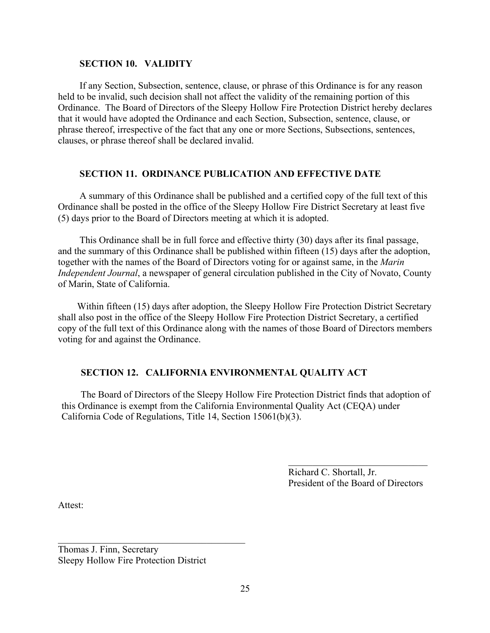### **SECTION 10. VALIDITY**

 If any Section, Subsection, sentence, clause, or phrase of this Ordinance is for any reason held to be invalid, such decision shall not affect the validity of the remaining portion of this Ordinance. The Board of Directors of the Sleepy Hollow Fire Protection District hereby declares that it would have adopted the Ordinance and each Section, Subsection, sentence, clause, or phrase thereof, irrespective of the fact that any one or more Sections, Subsections, sentences, clauses, or phrase thereof shall be declared invalid.

## **SECTION 11. ORDINANCE PUBLICATION AND EFFECTIVE DATE**

 A summary of this Ordinance shall be published and a certified copy of the full text of this Ordinance shall be posted in the office of the Sleepy Hollow Fire District Secretary at least five (5) days prior to the Board of Directors meeting at which it is adopted.

 This Ordinance shall be in full force and effective thirty (30) days after its final passage, and the summary of this Ordinance shall be published within fifteen (15) days after the adoption, together with the names of the Board of Directors voting for or against same, in the *Marin Independent Journal*, a newspaper of general circulation published in the City of Novato, County of Marin, State of California.

 Within fifteen (15) days after adoption, the Sleepy Hollow Fire Protection District Secretary shall also post in the office of the Sleepy Hollow Fire Protection District Secretary, a certified copy of the full text of this Ordinance along with the names of those Board of Directors members voting for and against the Ordinance.

## **SECTION 12. CALIFORNIA ENVIRONMENTAL QUALITY ACT**

 The Board of Directors of the Sleepy Hollow Fire Protection District finds that adoption of this Ordinance is exempt from the California Environmental Quality Act (CEQA) under California Code of Regulations, Title 14, Section 15061(b)(3).

> Richard C. Shortall, Jr. President of the Board of Directors

 $\mathcal{L}_\text{max}$  , where  $\mathcal{L}_\text{max}$  and  $\mathcal{L}_\text{max}$ 

Attest:

Thomas J. Finn, Secretary Sleepy Hollow Fire Protection District